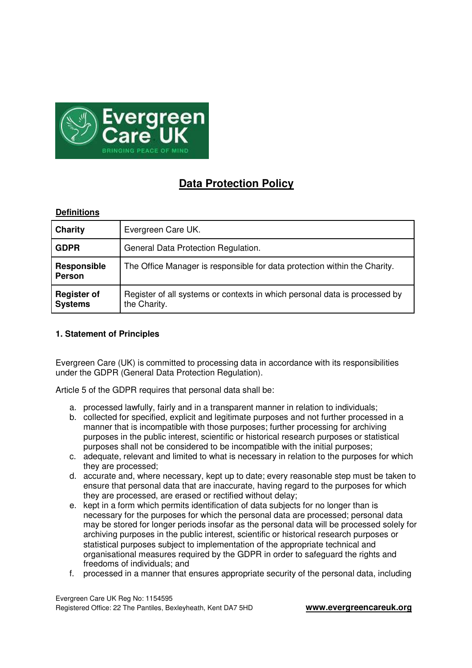

# **Data Protection Policy**

# **Definitions**

| Charity                              | Evergreen Care UK.                                                                         |
|--------------------------------------|--------------------------------------------------------------------------------------------|
| <b>GDPR</b>                          | General Data Protection Regulation.                                                        |
| <b>Responsible</b><br><b>Person</b>  | The Office Manager is responsible for data protection within the Charity.                  |
| <b>Register of</b><br><b>Systems</b> | Register of all systems or contexts in which personal data is processed by<br>the Charity. |

## **1. Statement of Principles**

Evergreen Care (UK) is committed to processing data in accordance with its responsibilities under the GDPR (General Data Protection Regulation).

Article 5 of the GDPR requires that personal data shall be:

- a. processed lawfully, fairly and in a transparent manner in relation to individuals;
- b. collected for specified, explicit and legitimate purposes and not further processed in a manner that is incompatible with those purposes; further processing for archiving purposes in the public interest, scientific or historical research purposes or statistical purposes shall not be considered to be incompatible with the initial purposes;
- c. adequate, relevant and limited to what is necessary in relation to the purposes for which they are processed;
- d. accurate and, where necessary, kept up to date; every reasonable step must be taken to ensure that personal data that are inaccurate, having regard to the purposes for which they are processed, are erased or rectified without delay;
- e. kept in a form which permits identification of data subjects for no longer than is necessary for the purposes for which the personal data are processed; personal data may be stored for longer periods insofar as the personal data will be processed solely for archiving purposes in the public interest, scientific or historical research purposes or statistical purposes subject to implementation of the appropriate technical and organisational measures required by the GDPR in order to safeguard the rights and freedoms of individuals; and
- f. processed in a manner that ensures appropriate security of the personal data, including

Evergreen Care UK Reg No: 1154595 Registered Office: 22 The Pantiles, Bexleyheath, Kent DA7 5HD **www.evergreencareuk.org**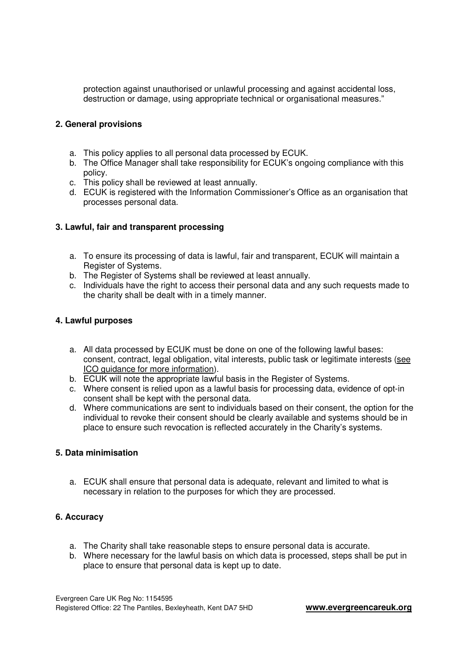protection against unauthorised or unlawful processing and against accidental loss, destruction or damage, using appropriate technical or organisational measures."

### **2. General provisions**

- a. This policy applies to all personal data processed by ECUK.
- b. The Office Manager shall take responsibility for ECUK's ongoing compliance with this policy.
- c. This policy shall be reviewed at least annually.
- d. ECUK is registered with the Information Commissioner's Office as an organisation that processes personal data.

# **3. Lawful, fair and transparent processing**

- a. To ensure its processing of data is lawful, fair and transparent, ECUK will maintain a Register of Systems.
- b. The Register of Systems shall be reviewed at least annually.
- c. Individuals have the right to access their personal data and any such requests made to the charity shall be dealt with in a timely manner.

# **4. Lawful purposes**

- a. All data processed by ECUK must be done on one of the following lawful bases: consent, contract, legal obligation, vital interests, public task or legitimate interests (see ICO guidance for more information).
- b. ECUK will note the appropriate lawful basis in the Register of Systems.
- c. Where consent is relied upon as a lawful basis for processing data, evidence of opt-in consent shall be kept with the personal data.
- d. Where communications are sent to individuals based on their consent, the option for the individual to revoke their consent should be clearly available and systems should be in place to ensure such revocation is reflected accurately in the Charity's systems.

### **5. Data minimisation**

a. ECUK shall ensure that personal data is adequate, relevant and limited to what is necessary in relation to the purposes for which they are processed.

### **6. Accuracy**

- a. The Charity shall take reasonable steps to ensure personal data is accurate.
- b. Where necessary for the lawful basis on which data is processed, steps shall be put in place to ensure that personal data is kept up to date.

Evergreen Care UK Reg No: 1154595 Registered Office: 22 The Pantiles, Bexleyheath, Kent DA7 5HD **www.evergreencareuk.org**